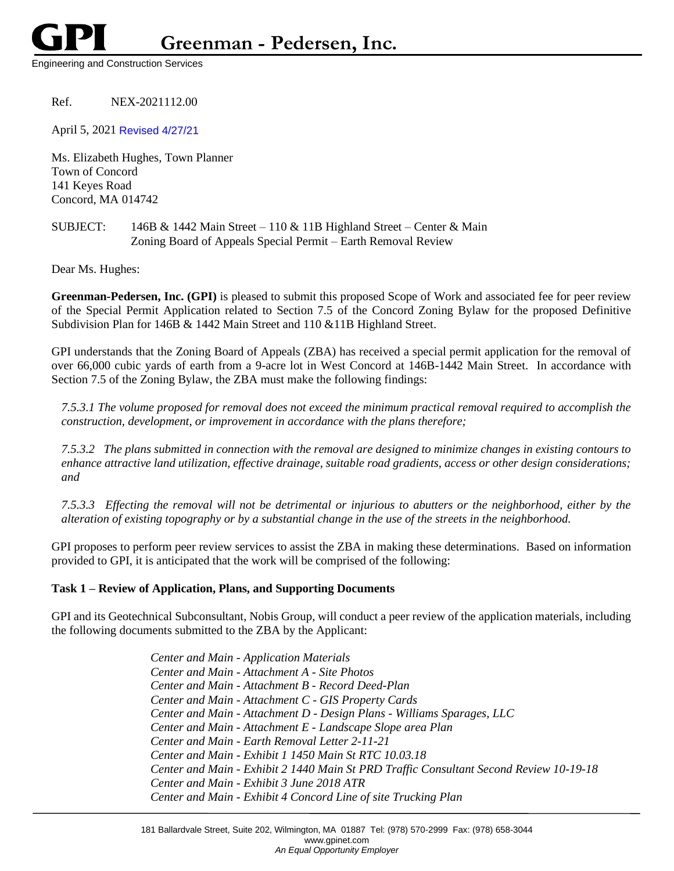Engineering and Construction Services

# Ref. NEX-2021112.00

April 5, 2021 Revised 4/27/21

Ms. Elizabeth Hughes, Town Planner Town of Concord 141 Keyes Road Concord, MA 014742

## SUBJECT: 146B & 1442 Main Street – 110 & 11B Highland Street – Center & Main Zoning Board of Appeals Special Permit – Earth Removal Review

Dear Ms. Hughes:

**Greenman-Pedersen, Inc. (GPI)** is pleased to submit this proposed Scope of Work and associated fee for peer review of the Special Permit Application related to Section 7.5 of the Concord Zoning Bylaw for the proposed Definitive Subdivision Plan for 146B & 1442 Main Street and 110 &11B Highland Street.

GPI understands that the Zoning Board of Appeals (ZBA) has received a special permit application for the removal of over 66,000 cubic yards of earth from a 9-acre lot in West Concord at 146B-1442 Main Street. In accordance with Section 7.5 of the Zoning Bylaw, the ZBA must make the following findings:

*7.5.3.1 The volume proposed for removal does not exceed the minimum practical removal required to accomplish the construction, development, or improvement in accordance with the plans therefore;*

*7.5.3.2 The plans submitted in connection with the removal are designed to minimize changes in existing contours to enhance attractive land utilization, effective drainage, suitable road gradients, access or other design considerations; and*

*7.5.3.3 Effecting the removal will not be detrimental or injurious to abutters or the neighborhood, either by the alteration of existing topography or by a substantial change in the use of the streets in the neighborhood.*

GPI proposes to perform peer review services to assist the ZBA in making these determinations. Based on information provided to GPI, it is anticipated that the work will be comprised of the following:

## **Task 1 – Review of Application, Plans, and Supporting Documents**

GPI and its Geotechnical Subconsultant, Nobis Group, will conduct a peer review of the application materials, including the following documents submitted to the ZBA by the Applicant:

> *Center and Main - Application Materials Center and Main - Attachment A - Site Photos Center and Main - Attachment B - Record Deed-Plan Center and Main - Attachment C - GIS Property Cards Center and Main - Attachment D - Design Plans - Williams Sparages, LLC Center and Main - Attachment E - Landscape Slope area Plan Center and Main - Earth Removal Letter 2-11-21 Center and Main - Exhibit 1 1450 Main St RTC 10.03.18 Center and Main - Exhibit 2 1440 Main St PRD Traffic Consultant Second Review 10-19-18 Center and Main - Exhibit 3 June 2018 ATR Center and Main - Exhibit 4 Concord Line of site Trucking Plan*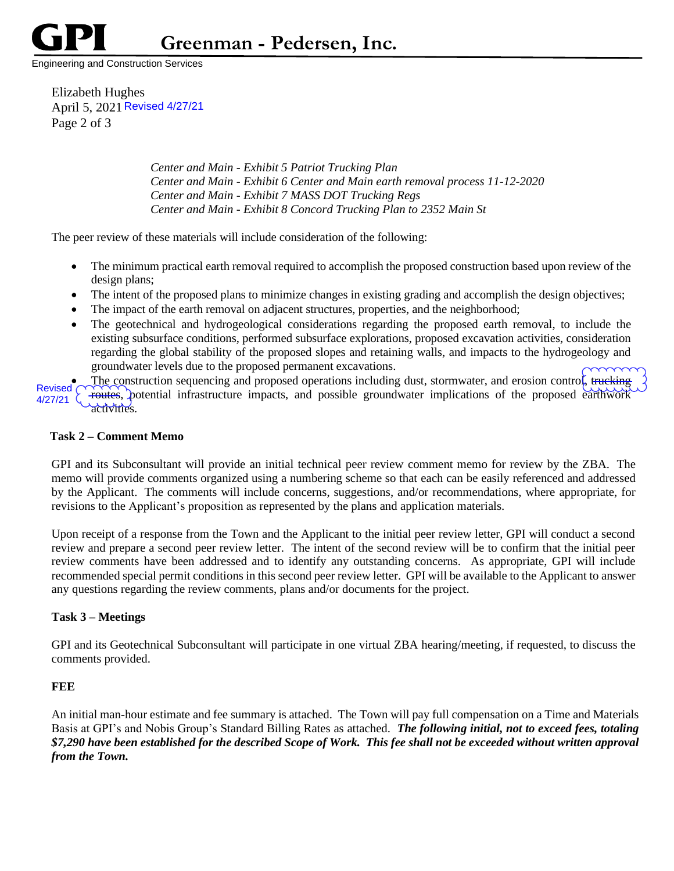

**Greenman - Pedersen, Inc.**

Engineering and Construction Services

Elizabeth Hughes April 5, 2021 Revised 4/27/21 Page 2 of 3

> *Center and Main - Exhibit 5 Patriot Trucking Plan Center and Main - Exhibit 6 Center and Main earth removal process 11-12-2020 Center and Main - Exhibit 7 MASS DOT Trucking Regs Center and Main - Exhibit 8 Concord Trucking Plan to 2352 Main St*

The peer review of these materials will include consideration of the following:

- The minimum practical earth removal required to accomplish the proposed construction based upon review of the design plans;
- The intent of the proposed plans to minimize changes in existing grading and accomplish the design objectives;
- The impact of the earth removal on adjacent structures, properties, and the neighborhood;
- The geotechnical and hydrogeological considerations regarding the proposed earth removal, to include the existing subsurface conditions, performed subsurface explorations, proposed excavation activities, consideration regarding the global stability of the proposed slopes and retaining walls, and impacts to the hydrogeology and groundwater levels due to the proposed permanent excavations.

The construction sequencing and proposed operations including dust, stormwater, and erosion control, trucking routes, potential infrastructure impacts, and possible groundwater implications of the proposed earthwork activities. Revised ( 4/27/21

## **Task 2 – Comment Memo**

GPI and its Subconsultant will provide an initial technical peer review comment memo for review by the ZBA. The memo will provide comments organized using a numbering scheme so that each can be easily referenced and addressed by the Applicant. The comments will include concerns, suggestions, and/or recommendations, where appropriate, for revisions to the Applicant's proposition as represented by the plans and application materials.

Upon receipt of a response from the Town and the Applicant to the initial peer review letter, GPI will conduct a second review and prepare a second peer review letter. The intent of the second review will be to confirm that the initial peer review comments have been addressed and to identify any outstanding concerns. As appropriate, GPI will include recommended special permit conditions in this second peer review letter. GPI will be available to the Applicant to answer any questions regarding the review comments, plans and/or documents for the project.

## **Task 3 – Meetings**

GPI and its Geotechnical Subconsultant will participate in one virtual ZBA hearing/meeting, if requested, to discuss the comments provided.

## **FEE**

An initial man-hour estimate and fee summary is attached. The Town will pay full compensation on a Time and Materials Basis at GPI's and Nobis Group's Standard Billing Rates as attached. *The following initial, not to exceed fees, totaling \$7,290 have been established for the described Scope of Work. This fee shall not be exceeded without written approval from the Town.*